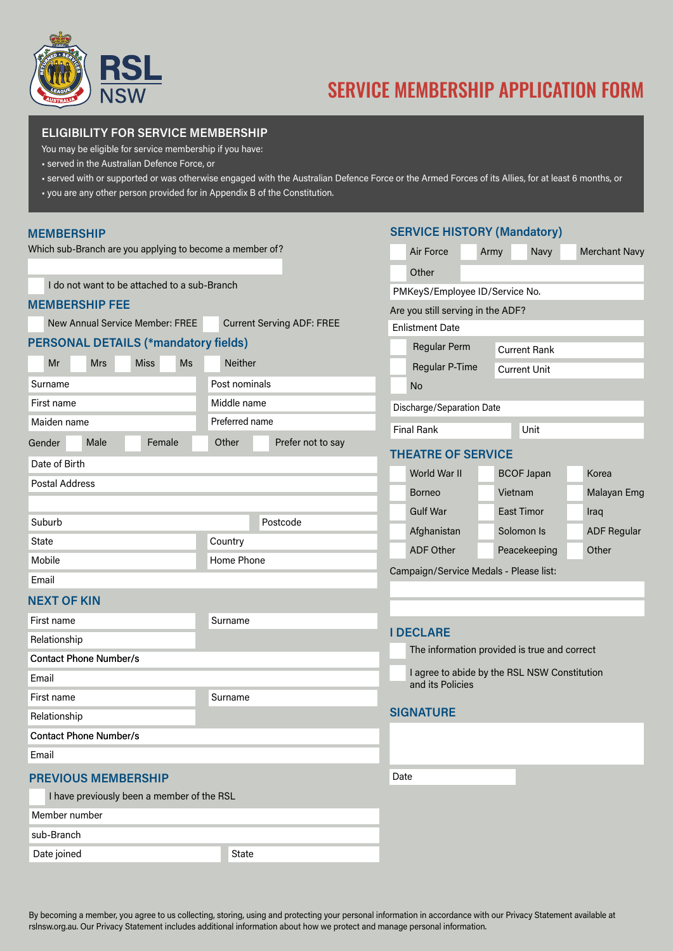

# SERVICE MEMBERSHIP APPLICATION FORM

## **ELIGIBILITY FOR SERVICE MEMBERSHIP**

You may be eligible for service membership if you have:

- served in the Australian Defence Force, or
- served with or supported or was otherwise engaged with the Australian Defence Force or the Armed Forces of its Allies, for at least 6 months, or
- you are any other person provided for in Appendix B of the Constitution.

#### **MEMBERSHIP**

Which sub-Branch are you applying to become a member of?

I do not want to be attached to a sub-Branch

#### **MEMBERSHIP FEE**

New Annual Service Member: FREE Current Serving ADF: F

# **PERSONAL DETAILS (\*mandatory fields)**

|                | Mr     |  | <b>Mrs</b> |  | <b>Miss</b> |        | <b>Ms</b> |                | <b>Neither</b> |  |                   |  |  |
|----------------|--------|--|------------|--|-------------|--------|-----------|----------------|----------------|--|-------------------|--|--|
| Surname        |        |  |            |  |             |        |           |                | Post nominals  |  |                   |  |  |
| First name     |        |  |            |  |             |        |           | Middle name    |                |  |                   |  |  |
| Maiden name    |        |  |            |  |             |        |           | Preferred name |                |  |                   |  |  |
|                | Gender |  | Male       |  |             | Female |           |                | Other          |  | Prefer not to say |  |  |
| Date of Birth  |        |  |            |  |             |        |           |                |                |  |                   |  |  |
| Postal Address |        |  |            |  |             |        |           |                |                |  |                   |  |  |
|                |        |  |            |  |             |        |           |                |                |  |                   |  |  |
| Suburb         |        |  |            |  |             |        |           | Postcode       |                |  |                   |  |  |
| State          |        |  |            |  |             |        | Country   |                |                |  |                   |  |  |
|                | Mobile |  |            |  |             |        |           |                | Home Phone     |  |                   |  |  |
| Email          |        |  |            |  |             |        |           |                |                |  |                   |  |  |

## **NEXT OF KIN**

| First name                                 | Surname |      |                                |  |  |
|--------------------------------------------|---------|------|--------------------------------|--|--|
| Relationship                               |         |      | <b>I DECLARE</b>               |  |  |
|                                            |         |      | The informa                    |  |  |
| <b>Contact Phone Number/s</b>              |         |      |                                |  |  |
| Email                                      |         |      | I agree to ab<br>and its Polic |  |  |
| First name                                 | Surname |      |                                |  |  |
| Relationship                               |         |      | <b>SIGNATURE</b>               |  |  |
| <b>Contact Phone Number/s</b>              |         |      |                                |  |  |
| Email                                      |         |      |                                |  |  |
| <b>PREVIOUS MEMBERSHIP</b>                 |         | Date |                                |  |  |
| I have previously been a member of the RSL |         |      |                                |  |  |
| Member number                              |         |      |                                |  |  |

sub-Branch

Date joined and State State State

# **SERVICE HISTORY (Mandatory)**

|                           | Air Force                                                                                    | Army           |                     | Navy              |  | <b>Merchant Navy</b> |  |  |  |  |  |
|---------------------------|----------------------------------------------------------------------------------------------|----------------|---------------------|-------------------|--|----------------------|--|--|--|--|--|
|                           | Other                                                                                        |                |                     |                   |  |                      |  |  |  |  |  |
|                           | PMKeyS/Employee ID/Service No.                                                               |                |                     |                   |  |                      |  |  |  |  |  |
|                           | Are you still serving in the ADF?                                                            |                |                     |                   |  |                      |  |  |  |  |  |
| <b>REE</b>                | <b>Enlistment Date</b>                                                                       |                |                     |                   |  |                      |  |  |  |  |  |
|                           | <b>Regular Perm</b>                                                                          |                | <b>Current Rank</b> |                   |  |                      |  |  |  |  |  |
|                           |                                                                                              | Regular P-Time |                     |                   |  | <b>Current Unit</b>  |  |  |  |  |  |
|                           | <b>No</b>                                                                                    |                |                     |                   |  |                      |  |  |  |  |  |
| Discharge/Separation Date |                                                                                              |                |                     |                   |  |                      |  |  |  |  |  |
|                           | <b>Final Rank</b>                                                                            |                |                     | Unit              |  |                      |  |  |  |  |  |
| o say                     | <b>THEATRE OF SERVICE</b>                                                                    |                |                     |                   |  |                      |  |  |  |  |  |
|                           | World War II                                                                                 |                |                     | <b>BCOF Japan</b> |  | Korea                |  |  |  |  |  |
|                           | <b>Borneo</b>                                                                                |                | Vietnam             |                   |  | Malayan Emg          |  |  |  |  |  |
|                           | <b>Gulf War</b>                                                                              |                |                     | <b>East Timor</b> |  | Iraq                 |  |  |  |  |  |
|                           | Afghanistan                                                                                  |                |                     | Solomon Is        |  | <b>ADF Regular</b>   |  |  |  |  |  |
|                           | <b>ADF Other</b>                                                                             |                |                     | Peacekeeping      |  | Other                |  |  |  |  |  |
|                           | Campaign/Service Medals - Please list:                                                       |                |                     |                   |  |                      |  |  |  |  |  |
|                           |                                                                                              |                |                     |                   |  |                      |  |  |  |  |  |
|                           |                                                                                              |                |                     |                   |  |                      |  |  |  |  |  |
|                           | <b>I DECLARE</b>                                                                             |                |                     |                   |  |                      |  |  |  |  |  |
|                           | The information provided is true and correct<br>I agree to abide by the RSL NSW Constitution |                |                     |                   |  |                      |  |  |  |  |  |
|                           |                                                                                              |                |                     |                   |  |                      |  |  |  |  |  |
| and its Policies          |                                                                                              |                |                     |                   |  |                      |  |  |  |  |  |
|                           | <b>SIGNATURE</b>                                                                             |                |                     |                   |  |                      |  |  |  |  |  |
|                           |                                                                                              |                |                     |                   |  |                      |  |  |  |  |  |
|                           |                                                                                              |                |                     |                   |  |                      |  |  |  |  |  |
|                           | Date                                                                                         |                |                     |                   |  |                      |  |  |  |  |  |
|                           |                                                                                              |                |                     |                   |  |                      |  |  |  |  |  |

By becoming a member, you agree to us collecting, storing, using and protecting your personal information in accordance with our Privacy Statement available at rslnsw.org.au. Our Privacy Statement includes additional information about how we protect and manage personal information.